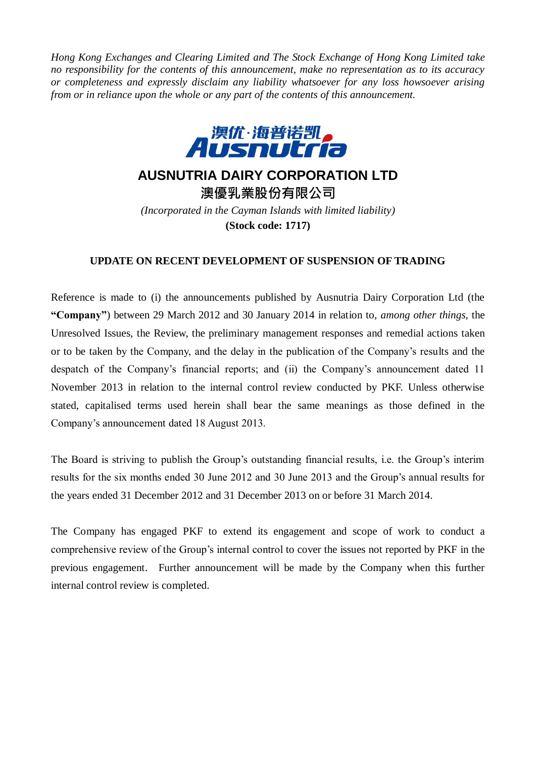*Hong Kong Exchanges and Clearing Limited and The Stock Exchange of Hong Kong Limited take no responsibility for the contents of this announcement, make no representation as to its accuracy or completeness and expressly disclaim any liability whatsoever for any loss howsoever arising from or in reliance upon the whole or any part of the contents of this announcement.*



## **AUSNUTRIA DAIRY CORPORATION LTD**

**澳優乳業股份有限公司** *(Incorporated in the Cayman Islands with limited liability)* **(Stock code: 1717)**

## **UPDATE ON RECENT DEVELOPMENT OF SUSPENSION OF TRADING**

Reference is made to (i) the announcements published by Ausnutria Dairy Corporation Ltd (the **"Company"**) between 29 March 2012 and 30 January 2014 in relation to, *among other things,* the Unresolved Issues, the Review, the preliminary management responses and remedial actions taken or to be taken by the Company, and the delay in the publication of the Company's results and the despatch of the Company's financial reports; and (ii) the Company's announcement dated 11 November 2013 in relation to the internal control review conducted by PKF. Unless otherwise stated, capitalised terms used herein shall bear the same meanings as those defined in the Company's announcement dated 18 August 2013.

The Board is striving to publish the Group's outstanding financial results, i.e. the Group's interim results for the six months ended 30 June 2012 and 30 June 2013 and the Group's annual results for the years ended 31 December 2012 and 31 December 2013 on or before 31 March 2014.

The Company has engaged PKF to extend its engagement and scope of work to conduct a comprehensive review of the Group's internal control to cover the issues not reported by PKF in the previous engagement. Further announcement will be made by the Company when this further internal control review is completed.